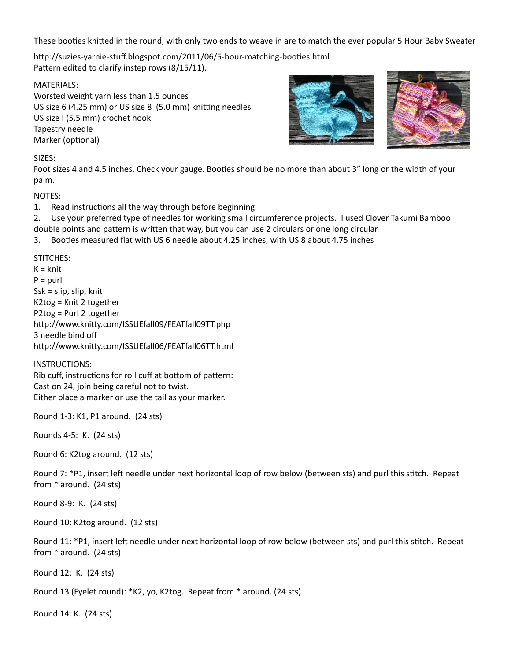These booties knitted in the round, with only two ends to weave in are to match the ever popular 5 Hour Baby Sweater

http://suzies-yarnie-stuff.blogspot.com/2011/06/5-hour-matching-booties.html Pattern edited to clarify instep rows (8/15/11).

MATERIALS:

Worsted weight yarn less than 1.5 ounces US size 6 (4.25 mm) or US size 8 (5.0 mm) knitting needles US size I (5.5 mm) crochet hook Tapestry needle Marker (optional)



Foot sizes 4 and 4.5 inches. Check your gauge. Booties should be no more than about 3" long or the width of your palm.

NOTES:

1. Read instructions all the way through before beginning.

2. Use your preferred type of needles for working small circumference projects. I used Clover Takumi Bamboo double points and pattern is written that way, but you can use 2 circulars or one long circular.

3. Booties measured flat with US 6 needle about 4.25 inches, with US 8 about 4.75 inches

STITCHES:

 $K = knit$  $P =$  purl Ssk = slip, slip, knit K2tog = Knit 2 together P2tog = Purl 2 together http://www.knitty.com/ISSUEfall09/FEATfall09TT.php 3 needle bind off http://www.knitty.com/ISSUEfall06/FEATfall06TT.html

INSTRUCTIONS:

Rib cuff, instructions for roll cuff at bottom of pattern: Cast on 24, join being careful not to twist. Either place a marker or use the tail as your marker.

Round 1-3: K1, P1 around. (24 sts)

Rounds 4-5: K. (24 sts)

Round 6: K2tog around. (12 sts)

Round 7: \*P1, insert left needle under next horizontal loop of row below (between sts) and purl this stitch. Repeat from \* around. (24 sts)

Round 8-9: K. (24 sts)

Round 10: K2tog around. (12 sts)

Round 11: \*P1, insert left needle under next horizontal loop of row below (between sts) and purl this stitch. Repeat from \* around. (24 sts)

Round 12: K. (24 sts)

Round 13 (Eyelet round): \*K2, yo, K2tog. Repeat from \* around. (24 sts)

Round 14: K. (24 sts)

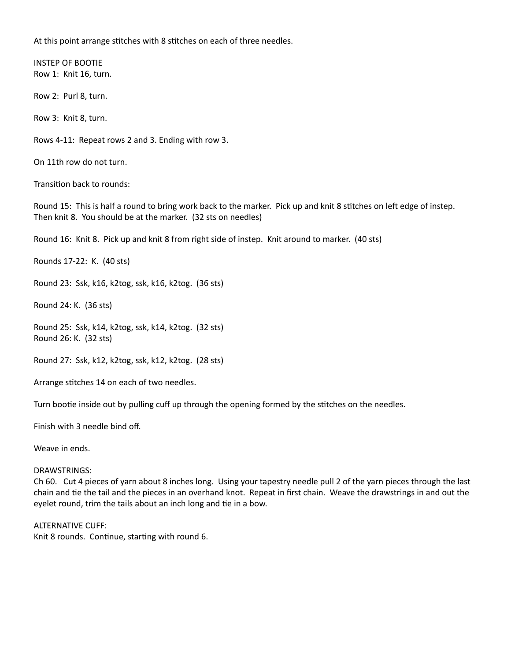At this point arrange stitches with 8 stitches on each of three needles.

INSTEP OF BOOTIE Row 1: Knit 16, turn.

Row 2: Purl 8, turn.

Row 3: Knit 8, turn.

Rows 4-11: Repeat rows 2 and 3. Ending with row 3.

On 11th row do not turn.

Transition back to rounds:

Round 15: This is half a round to bring work back to the marker. Pick up and knit 8 stitches on left edge of instep. Then knit 8. You should be at the marker. (32 sts on needles)

Round 16: Knit 8. Pick up and knit 8 from right side of instep. Knit around to marker. (40 sts)

Rounds 17-22: K. (40 sts)

Round 23: Ssk, k16, k2tog, ssk, k16, k2tog. (36 sts)

Round 24: K. (36 sts)

Round 25: Ssk, k14, k2tog, ssk, k14, k2tog. (32 sts) Round 26: K. (32 sts)

Round 27: Ssk, k12, k2tog, ssk, k12, k2tog. (28 sts)

Arrange stitches 14 on each of two needles.

Turn bootie inside out by pulling cuff up through the opening formed by the stitches on the needles.

Finish with 3 needle bind off.

Weave in ends.

## DRAWSTRINGS:

Ch 60. Cut 4 pieces of yarn about 8 inches long. Using your tapestry needle pull 2 of the yarn pieces through the last chain and tie the tail and the pieces in an overhand knot. Repeat in first chain. Weave the drawstrings in and out the eyelet round, trim the tails about an inch long and tie in a bow.

ALTERNATIVE CUFF:

Knit 8 rounds. Continue, starting with round 6.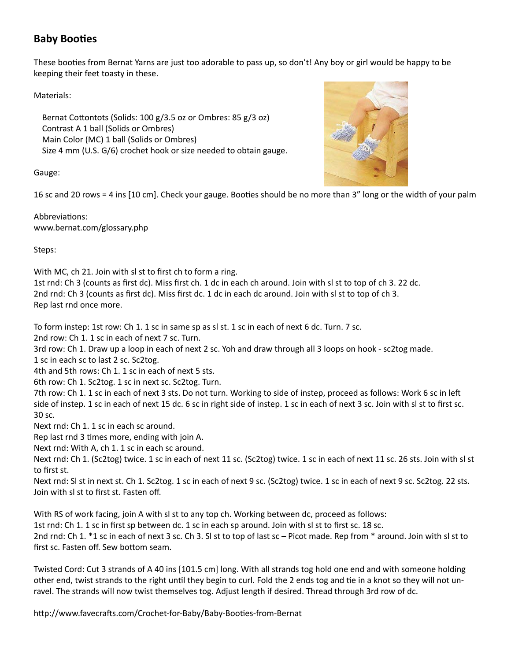## **Baby Booties**

These booties from Bernat Yarns are just too adorable to pass up, so don't! Any boy or girl would be happy to be keeping their feet toasty in these.

Materials:

 Bernat Cottontots (Solids: 100 g/3.5 oz or Ombres: 85 g/3 oz) Contrast A 1 ball (Solids or Ombres) Main Color (MC) 1 ball (Solids or Ombres) Size 4 mm (U.S. G/6) crochet hook or size needed to obtain gauge.

Gauge:

16 sc and 20 rows = 4 ins [10 cm]. Check your gauge. Booties should be no more than 3" long or the width of your palm

Abbreviations: www.bernat.com/glossary.php

Steps:

With MC, ch 21. Join with sl st to first ch to form a ring.

1st rnd: Ch 3 (counts as first dc). Miss first ch. 1 dc in each ch around. Join with sl st to top of ch 3. 22 dc. 2nd rnd: Ch 3 (counts as first dc). Miss first dc. 1 dc in each dc around. Join with sl st to top of ch 3. Rep last rnd once more.

To form instep: 1st row: Ch 1. 1 sc in same sp as sl st. 1 sc in each of next 6 dc. Turn. 7 sc.

2nd row: Ch 1. 1 sc in each of next 7 sc. Turn.

3rd row: Ch 1. Draw up a loop in each of next 2 sc. Yoh and draw through all 3 loops on hook - sc2tog made.

1 sc in each sc to last 2 sc. Sc2tog.

4th and 5th rows: Ch 1. 1 sc in each of next 5 sts.

6th row: Ch 1. Sc2tog. 1 sc in next sc. Sc2tog. Turn.

7th row: Ch 1. 1 sc in each of next 3 sts. Do not turn. Working to side of instep, proceed as follows: Work 6 sc in left side of instep. 1 sc in each of next 15 dc. 6 sc in right side of instep. 1 sc in each of next 3 sc. Join with sl st to first sc. 30 sc.

Next rnd: Ch 1. 1 sc in each sc around.

Rep last rnd 3 times more, ending with join A.

Next rnd: With A, ch 1. 1 sc in each sc around.

Next rnd: Ch 1. (Sc2tog) twice. 1 sc in each of next 11 sc. (Sc2tog) twice. 1 sc in each of next 11 sc. 26 sts. Join with sl st to first st.

Next rnd: Sl st in next st. Ch 1. Sc2tog. 1 sc in each of next 9 sc. (Sc2tog) twice. 1 sc in each of next 9 sc. Sc2tog. 22 sts. Join with sl st to first st. Fasten off.

With RS of work facing, join A with sl st to any top ch. Working between dc, proceed as follows:

1st rnd: Ch 1. 1 sc in first sp between dc. 1 sc in each sp around. Join with sl st to first sc. 18 sc.

2nd rnd: Ch 1. \*1 sc in each of next 3 sc. Ch 3. Sl st to top of last sc – Picot made. Rep from \* around. Join with sl st to first sc. Fasten off. Sew bottom seam.

Twisted Cord: Cut 3 strands of A 40 ins [101.5 cm] long. With all strands tog hold one end and with someone holding other end, twist strands to the right until they begin to curl. Fold the 2 ends tog and tie in a knot so they will not unravel. The strands will now twist themselves tog. Adjust length if desired. Thread through 3rd row of dc.

http://www.favecrafts.com/Crochet-for-Baby/Baby-Booties-from-Bernat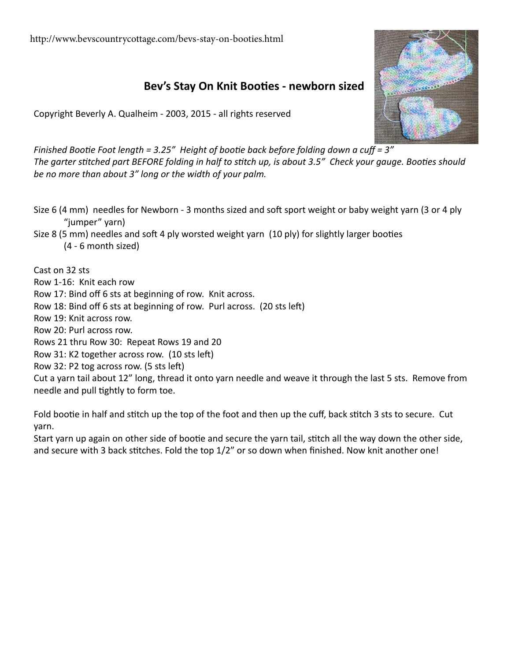<http://www.bevscountrycottage.com/bevs-stay-on-booties.html>

## **Bev's Stay On Knit Booties - newborn sized**

Copyright Beverly A. Qualheim - 2003, 2015 - all rights reserved

*Finished Bootie Foot length = 3.25" Height of bootie back before folding down a cuff = 3" The garter stitched part BEFORE folding in half to stitch up, is about 3.5" Check your gauge. Booties should be no more than about 3" long or the width of your palm.*

Size 6 (4 mm) needles for Newborn - 3 months sized and soft sport weight or baby weight yarn (3 or 4 ply "jumper" yarn)

Size 8 (5 mm) needles and soft 4 ply worsted weight yarn (10 ply) for slightly larger booties

(4 - 6 month sized)

Cast on 32 sts

Row 1-16: Knit each row

Row 17: Bind off 6 sts at beginning of row. Knit across.

Row 18: Bind off 6 sts at beginning of row. Purl across. (20 sts left)

Row 19: Knit across row.

Row 20: Purl across row.

Rows 21 thru Row 30: Repeat Rows 19 and 20

Row 31: K2 together across row. (10 sts left)

Row 32: P2 tog across row. (5 sts left)

Cut a yarn tail about 12" long, thread it onto yarn needle and weave it through the last 5 sts. Remove from needle and pull tightly to form toe.

Fold bootie in half and stitch up the top of the foot and then up the cuff, back stitch 3 sts to secure. Cut yarn.

Start yarn up again on other side of bootie and secure the yarn tail, stitch all the way down the other side, and secure with 3 back stitches. Fold the top 1/2" or so down when finished. Now knit another one!